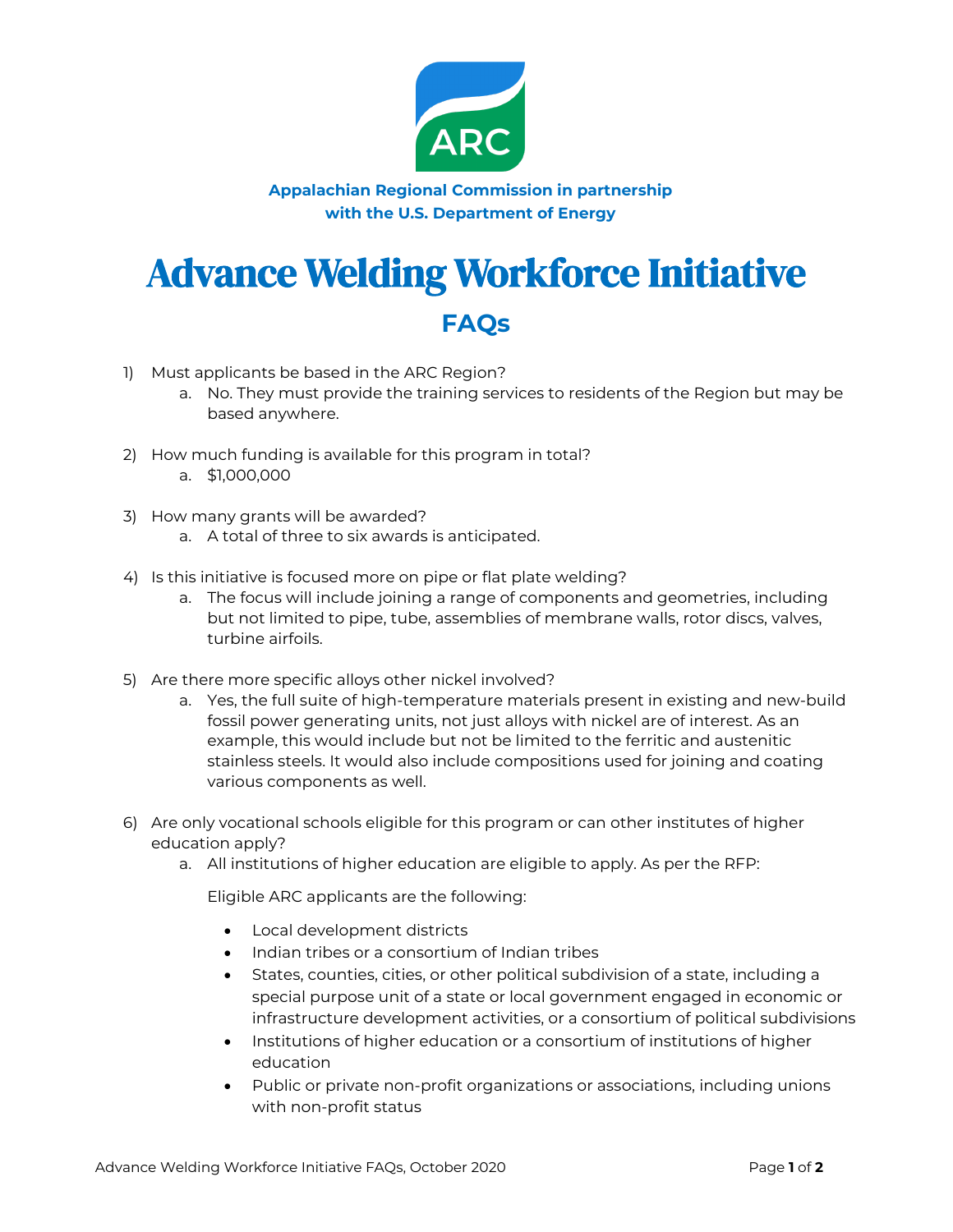

**Appalachian Regional Commission in partnership with the U.S. Department of Energy**

## Advance Welding Workforce Initiative

## **FAQs**

- 1) Must applicants be based in the ARC Region?
	- a. No. They must provide the training services to residents of the Region but may be based anywhere.
- 2) How much funding is available for this program in total? a. \$1,000,000
- 3) How many grants will be awarded?
	- a. A total of three to six awards is anticipated.
- 4) Is this initiative is focused more on pipe or flat plate welding?
	- a. The focus will include joining a range of components and geometries, including but not limited to pipe, tube, assemblies of membrane walls, rotor discs, valves, turbine airfoils.
- 5) Are there more specific alloys other nickel involved?
	- a. Yes, the full suite of high-temperature materials present in existing and new-build fossil power generating units, not just alloys with nickel are of interest. As an example, this would include but not be limited to the ferritic and austenitic stainless steels. It would also include compositions used for joining and coating various components as well.
- 6) Are only vocational schools eligible for this program or can other institutes of higher education apply?
	- a. All institutions of higher education are eligible to apply. As per the RFP:

Eligible ARC applicants are the following:

- Local development districts
- Indian tribes or a consortium of Indian tribes
- States, counties, cities, or other political subdivision of a state, including a special purpose unit of a state or local government engaged in economic or infrastructure development activities, or a consortium of political subdivisions
- Institutions of higher education or a consortium of institutions of higher education
- Public or private non-profit organizations or associations, including unions with non-profit status